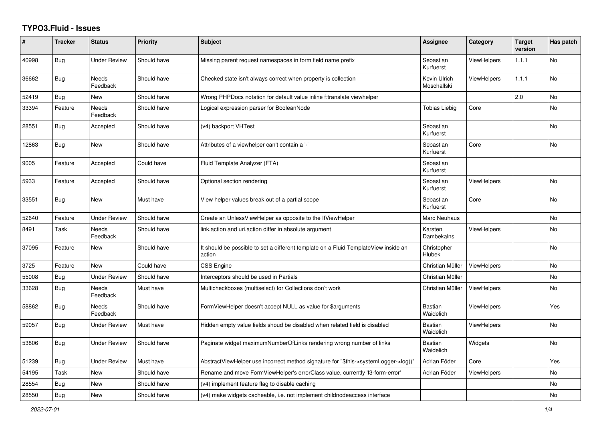## **TYPO3.Fluid - Issues**

| #     | <b>Tracker</b> | <b>Status</b>            | <b>Priority</b> | <b>Subject</b>                                                                                | Assignee                    | Category           | <b>Target</b><br>version | Has patch |
|-------|----------------|--------------------------|-----------------|-----------------------------------------------------------------------------------------------|-----------------------------|--------------------|--------------------------|-----------|
| 40998 | <b>Bug</b>     | <b>Under Review</b>      | Should have     | Missing parent request namespaces in form field name prefix                                   | Sebastian<br>Kurfuerst      | ViewHelpers        | 1.1.1                    | <b>No</b> |
| 36662 | <b>Bug</b>     | Needs<br>Feedback        | Should have     | Checked state isn't always correct when property is collection                                | Kevin Ulrich<br>Moschallski | <b>ViewHelpers</b> | 1.1.1                    | No        |
| 52419 | Bug            | <b>New</b>               | Should have     | Wrong PHPDocs notation for default value inline f:translate viewhelper                        |                             |                    | 2.0                      | <b>No</b> |
| 33394 | Feature        | <b>Needs</b><br>Feedback | Should have     | Logical expression parser for BooleanNode                                                     | <b>Tobias Liebig</b>        | Core               |                          | <b>No</b> |
| 28551 | <b>Bug</b>     | Accepted                 | Should have     | (v4) backport VHTest                                                                          | Sebastian<br>Kurfuerst      |                    |                          | No        |
| 12863 | <b>Bug</b>     | New                      | Should have     | Attributes of a viewhelper can't contain a '-'                                                | Sebastian<br>Kurfuerst      | Core               |                          | No        |
| 9005  | Feature        | Accepted                 | Could have      | Fluid Template Analyzer (FTA)                                                                 | Sebastian<br>Kurfuerst      |                    |                          |           |
| 5933  | Feature        | Accepted                 | Should have     | Optional section rendering                                                                    | Sebastian<br>Kurfuerst      | <b>ViewHelpers</b> |                          | <b>No</b> |
| 33551 | <b>Bug</b>     | <b>New</b>               | Must have       | View helper values break out of a partial scope                                               | Sebastian<br>Kurfuerst      | Core               |                          | <b>No</b> |
| 52640 | Feature        | <b>Under Review</b>      | Should have     | Create an UnlessViewHelper as opposite to the IfViewHelper                                    | Marc Neuhaus                |                    |                          | <b>No</b> |
| 8491  | Task           | Needs<br>Feedback        | Should have     | link.action and uri.action differ in absolute argument                                        | Karsten<br>Dambekalns       | ViewHelpers        |                          | No        |
| 37095 | Feature        | New                      | Should have     | It should be possible to set a different template on a Fluid TemplateView inside an<br>action | Christopher<br>Hlubek       |                    |                          | No        |
| 3725  | Feature        | New                      | Could have      | <b>CSS Engine</b>                                                                             | Christian Müller            | <b>ViewHelpers</b> |                          | <b>No</b> |
| 55008 | Bug            | <b>Under Review</b>      | Should have     | Interceptors should be used in Partials                                                       | Christian Müller            |                    |                          | No        |
| 33628 | Bug            | Needs<br>Feedback        | Must have       | Multicheckboxes (multiselect) for Collections don't work                                      | Christian Müller            | <b>ViewHelpers</b> |                          | <b>No</b> |
| 58862 | Bug            | Needs<br>Feedback        | Should have     | FormViewHelper doesn't accept NULL as value for \$arguments                                   | <b>Bastian</b><br>Waidelich | <b>ViewHelpers</b> |                          | Yes       |
| 59057 | Bug            | Under Review             | Must have       | Hidden empty value fields shoud be disabled when related field is disabled                    | Bastian<br>Waidelich        | ViewHelpers        |                          | No        |
| 53806 | <b>Bug</b>     | Under Review             | Should have     | Paginate widget maximumNumberOfLinks rendering wrong number of links                          | <b>Bastian</b><br>Waidelich | Widgets            |                          | <b>No</b> |
| 51239 | Bug            | <b>Under Review</b>      | Must have       | AbstractViewHelper use incorrect method signature for "\$this->systemLogger->log()"           | Adrian Föder                | Core               |                          | Yes       |
| 54195 | Task           | <b>New</b>               | Should have     | Rename and move FormViewHelper's errorClass value, currently 'f3-form-error'                  | Adrian Föder                | <b>ViewHelpers</b> |                          | <b>No</b> |
| 28554 | Bug            | New                      | Should have     | (v4) implement feature flag to disable caching                                                |                             |                    |                          | No        |
| 28550 | Bug            | New                      | Should have     | (v4) make widgets cacheable, i.e. not implement childnodeaccess interface                     |                             |                    |                          | No        |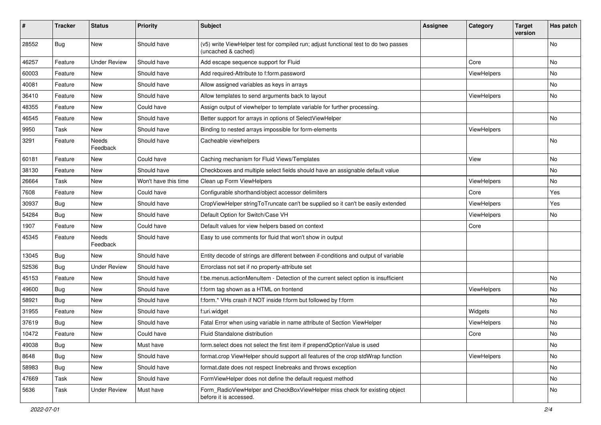| #     | <b>Tracker</b> | <b>Status</b>       | <b>Priority</b>      | Subject                                                                                                     | <b>Assignee</b> | Category    | <b>Target</b><br>version | Has patch |
|-------|----------------|---------------------|----------------------|-------------------------------------------------------------------------------------------------------------|-----------------|-------------|--------------------------|-----------|
| 28552 | Bug            | <b>New</b>          | Should have          | (v5) write ViewHelper test for compiled run; adjust functional test to do two passes<br>(uncached & cached) |                 |             |                          | <b>No</b> |
| 46257 | Feature        | <b>Under Review</b> | Should have          | Add escape sequence support for Fluid                                                                       |                 | Core        |                          | No        |
| 60003 | Feature        | New                 | Should have          | Add required-Attribute to f:form.password                                                                   |                 | ViewHelpers |                          | <b>No</b> |
| 40081 | Feature        | New                 | Should have          | Allow assigned variables as keys in arrays                                                                  |                 |             |                          | No        |
| 36410 | Feature        | <b>New</b>          | Should have          | Allow templates to send arguments back to layout                                                            |                 | ViewHelpers |                          | No        |
| 48355 | Feature        | New                 | Could have           | Assign output of viewhelper to template variable for further processing.                                    |                 |             |                          |           |
| 46545 | Feature        | <b>New</b>          | Should have          | Better support for arrays in options of SelectViewHelper                                                    |                 |             |                          | <b>No</b> |
| 9950  | Task           | <b>New</b>          | Should have          | Binding to nested arrays impossible for form-elements                                                       |                 | ViewHelpers |                          |           |
| 3291  | Feature        | Needs<br>Feedback   | Should have          | Cacheable viewhelpers                                                                                       |                 |             |                          | <b>No</b> |
| 60181 | Feature        | New                 | Could have           | Caching mechanism for Fluid Views/Templates                                                                 |                 | View        |                          | <b>No</b> |
| 38130 | Feature        | New                 | Should have          | Checkboxes and multiple select fields should have an assignable default value                               |                 |             |                          | No        |
| 26664 | Task           | New                 | Won't have this time | Clean up Form ViewHelpers                                                                                   |                 | ViewHelpers |                          | No        |
| 7608  | Feature        | New                 | Could have           | Configurable shorthand/object accessor delimiters                                                           |                 | Core        |                          | Yes       |
| 30937 | Bug            | New                 | Should have          | CropViewHelper stringToTruncate can't be supplied so it can't be easily extended                            |                 | ViewHelpers |                          | Yes       |
| 54284 | Bug            | <b>New</b>          | Should have          | Default Option for Switch/Case VH                                                                           |                 | ViewHelpers |                          | No        |
| 1907  | Feature        | New                 | Could have           | Default values for view helpers based on context                                                            |                 | Core        |                          |           |
| 45345 | Feature        | Needs<br>Feedback   | Should have          | Easy to use comments for fluid that won't show in output                                                    |                 |             |                          |           |
| 13045 | Bug            | New                 | Should have          | Entity decode of strings are different between if-conditions and output of variable                         |                 |             |                          |           |
| 52536 | Bug            | <b>Under Review</b> | Should have          | Errorclass not set if no property-attribute set                                                             |                 |             |                          |           |
| 45153 | Feature        | New                 | Should have          | f:be.menus.actionMenuItem - Detection of the current select option is insufficient                          |                 |             |                          | No        |
| 49600 | Bug            | New                 | Should have          | f:form tag shown as a HTML on frontend                                                                      |                 | ViewHelpers |                          | No        |
| 58921 | Bug            | New                 | Should have          | f:form.* VHs crash if NOT inside f:form but followed by f:form                                              |                 |             |                          | No        |
| 31955 | Feature        | New                 | Should have          | f:uri.widget                                                                                                |                 | Widgets     |                          | No        |
| 37619 | Bug            | New                 | Should have          | Fatal Error when using variable in name attribute of Section ViewHelper                                     |                 | ViewHelpers |                          | <b>No</b> |
| 10472 | Feature        | New                 | Could have           | Fluid Standalone distribution                                                                               |                 | Core        |                          | No        |
| 49038 | <b>Bug</b>     | New                 | Must have            | form.select does not select the first item if prependOptionValue is used                                    |                 |             |                          | No        |
| 8648  | <b>Bug</b>     | New                 | Should have          | format.crop ViewHelper should support all features of the crop stdWrap function                             |                 | ViewHelpers |                          | No        |
| 58983 | Bug            | New                 | Should have          | format.date does not respect linebreaks and throws exception                                                |                 |             |                          | No        |
| 47669 | Task           | New                 | Should have          | FormViewHelper does not define the default request method                                                   |                 |             |                          | No        |
| 5636  | Task           | <b>Under Review</b> | Must have            | Form_RadioViewHelper and CheckBoxViewHelper miss check for existing object<br>before it is accessed.        |                 |             |                          | No        |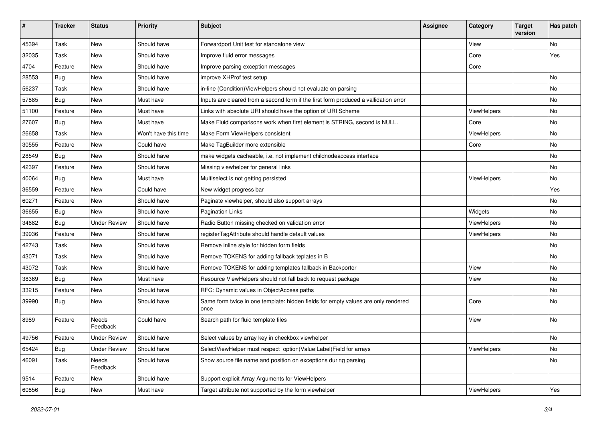| #     | <b>Tracker</b> | <b>Status</b>       | <b>Priority</b>      | <b>Subject</b>                                                                            | <b>Assignee</b> | Category    | <b>Target</b><br>version | Has patch |
|-------|----------------|---------------------|----------------------|-------------------------------------------------------------------------------------------|-----------------|-------------|--------------------------|-----------|
| 45394 | Task           | New                 | Should have          | Forwardport Unit test for standalone view                                                 |                 | View        |                          | No        |
| 32035 | Task           | New                 | Should have          | Improve fluid error messages                                                              |                 | Core        |                          | Yes       |
| 4704  | Feature        | New                 | Should have          | Improve parsing exception messages                                                        |                 | Core        |                          |           |
| 28553 | Bug            | New                 | Should have          | improve XHProf test setup                                                                 |                 |             |                          | No        |
| 56237 | Task           | New                 | Should have          | in-line (Condition) View Helpers should not evaluate on parsing                           |                 |             |                          | No        |
| 57885 | Bug            | New                 | Must have            | Inputs are cleared from a second form if the first form produced a vallidation error      |                 |             |                          | No        |
| 51100 | Feature        | New                 | Must have            | Links with absolute URI should have the option of URI Scheme                              |                 | ViewHelpers |                          | No        |
| 27607 | <b>Bug</b>     | New                 | Must have            | Make Fluid comparisons work when first element is STRING, second is NULL.                 |                 | Core        |                          | No        |
| 26658 | Task           | New                 | Won't have this time | Make Form ViewHelpers consistent                                                          |                 | ViewHelpers |                          | No        |
| 30555 | Feature        | New                 | Could have           | Make TagBuilder more extensible                                                           |                 | Core        |                          | No        |
| 28549 | Bug            | New                 | Should have          | make widgets cacheable, i.e. not implement childnodeaccess interface                      |                 |             |                          | No        |
| 42397 | Feature        | New                 | Should have          | Missing viewhelper for general links                                                      |                 |             |                          | No        |
| 40064 | Bug            | New                 | Must have            | Multiselect is not getting persisted                                                      |                 | ViewHelpers |                          | No        |
| 36559 | Feature        | New                 | Could have           | New widget progress bar                                                                   |                 |             |                          | Yes       |
| 60271 | Feature        | New                 | Should have          | Paginate viewhelper, should also support arrays                                           |                 |             |                          | No        |
| 36655 | Bug            | New                 | Should have          | <b>Pagination Links</b>                                                                   |                 | Widgets     |                          | No.       |
| 34682 | Bug            | <b>Under Review</b> | Should have          | Radio Button missing checked on validation error                                          |                 | ViewHelpers |                          | No        |
| 39936 | Feature        | New                 | Should have          | registerTagAttribute should handle default values                                         |                 | ViewHelpers |                          | No        |
| 42743 | Task           | New                 | Should have          | Remove inline style for hidden form fields                                                |                 |             |                          | No        |
| 43071 | Task           | New                 | Should have          | Remove TOKENS for adding fallback teplates in B                                           |                 |             |                          | No        |
| 43072 | Task           | New                 | Should have          | Remove TOKENS for adding templates fallback in Backporter                                 |                 | View        |                          | No        |
| 38369 | Bug            | New                 | Must have            | Resource ViewHelpers should not fall back to request package                              |                 | View        |                          | No        |
| 33215 | Feature        | New                 | Should have          | RFC: Dynamic values in ObjectAccess paths                                                 |                 |             |                          | No        |
| 39990 | Bug            | New                 | Should have          | Same form twice in one template: hidden fields for empty values are only rendered<br>once |                 | Core        |                          | No        |
| 8989  | Feature        | Needs<br>Feedback   | Could have           | Search path for fluid template files                                                      |                 | View        |                          | No        |
| 49756 | Feature        | <b>Under Review</b> | Should have          | Select values by array key in checkbox viewhelper                                         |                 |             |                          | No        |
| 65424 | Bug            | <b>Under Review</b> | Should have          | SelectViewHelper must respect option(Value Label)Field for arrays                         |                 | ViewHelpers |                          | No        |
| 46091 | Task           | Needs<br>Feedback   | Should have          | Show source file name and position on exceptions during parsing                           |                 |             |                          | No        |
| 9514  | Feature        | New                 | Should have          | Support explicit Array Arguments for ViewHelpers                                          |                 |             |                          |           |
| 60856 | <b>Bug</b>     | New                 | Must have            | Target attribute not supported by the form viewhelper                                     |                 | ViewHelpers |                          | Yes       |